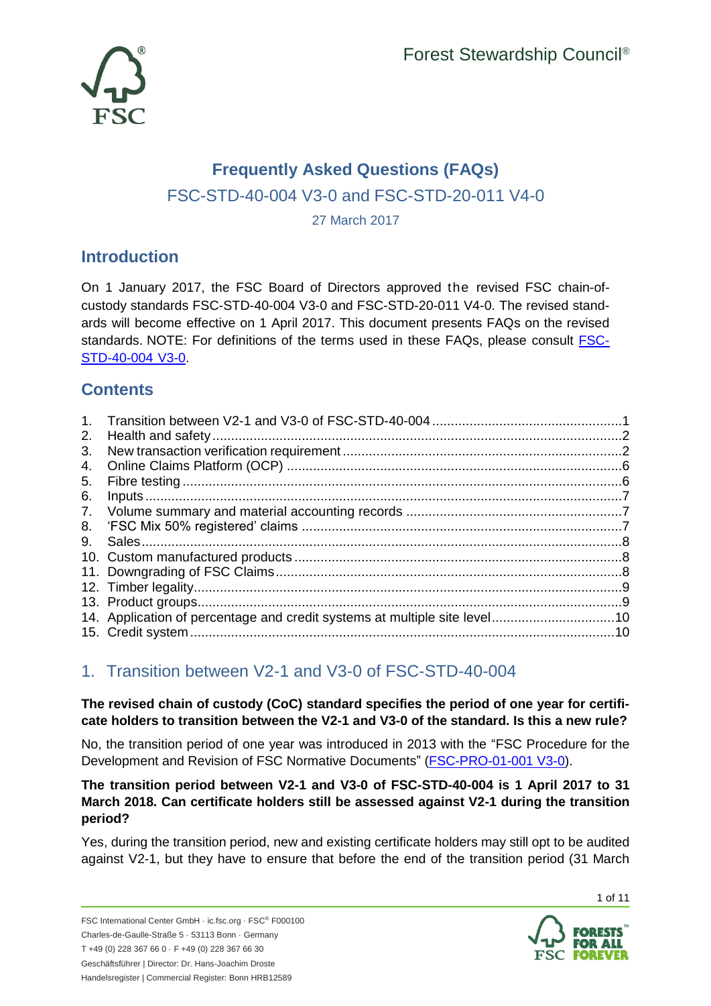

# **Frequently Asked Questions (FAQs)** FSC-STD-40-004 V3-0 and FSC-STD-20-011 V4-0 27 March 2017

# **Introduction**

On 1 January 2017, the FSC Board of Directors approved the revised FSC chain-ofcustody standards FSC-STD-40-004 V3-0 and FSC-STD-20-011 V4-0. The revised standards will become effective on 1 April 2017. This document presents FAQs on the revised standards. NOTE: For definitions of the terms used in these FAQs, please consult [FSC-](https://ic.fsc.org/en/document-center/id/80)[STD-40-004](https://ic.fsc.org/en/document-center/id/80) V3-0.

# **Contents**

| $\mathbf{1}$ . |  |
|----------------|--|
| 2.             |  |
| 3.             |  |
| 4.             |  |
| 5.             |  |
| 6.             |  |
|                |  |
| 8.             |  |
| 9.             |  |
|                |  |
|                |  |
|                |  |
|                |  |
|                |  |
|                |  |

# <span id="page-0-0"></span>1. Transition between V2-1 and V3-0 of FSC-STD-40-004

**The revised chain of custody (CoC) standard specifies the period of one year for certificate holders to transition between the V2-1 and V3-0 of the standard. Is this a new rule?**

No, the transition period of one year was introduced in 2013 with the "FSC Procedure for the Development and Revision of FSC Normative Documents" [\(FSC-PRO-01-001 V3-0\)](https://ic.fsc.org/en/document-center/id/40).

# **The transition period between V2-1 and V3-0 of FSC-STD-40-004 is 1 April 2017 to 31 March 2018. Can certificate holders still be assessed against V2-1 during the transition period?**

Yes, during the transition period, new and existing certificate holders may still opt to be audited against V2-1, but they have to ensure that before the end of the transition period (31 March



1 of 11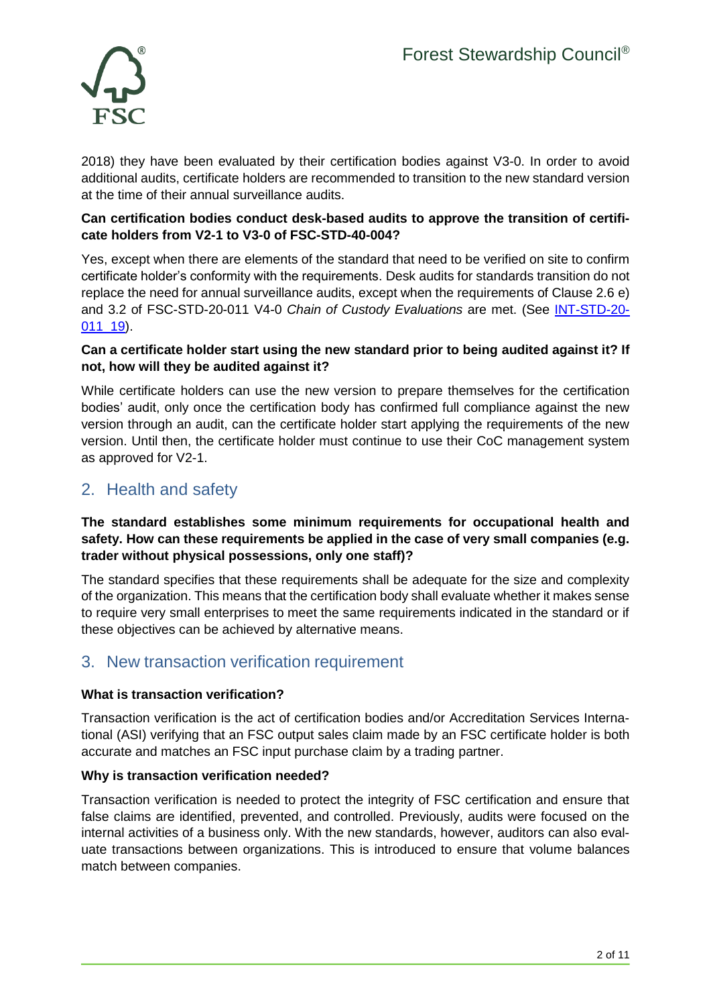

2018) they have been evaluated by their certification bodies against V3-0. In order to avoid additional audits, certificate holders are recommended to transition to the new standard version at the time of their annual surveillance audits.

# **Can certification bodies conduct desk-based audits to approve the transition of certificate holders from V2-1 to V3-0 of FSC-STD-40-004?**

Yes, except when there are elements of the standard that need to be verified on site to confirm certificate holder's conformity with the requirements. Desk audits for standards transition do not replace the need for annual surveillance audits, except when the requirements of Clause 2.6 e) and 3.2 of FSC-STD-20-011 V4-0 *Chain of Custody Evaluations* are met. (See [INT-STD-20-](https://ic.fsc.org/en/document-center/id/109) [011\\_19\)](https://ic.fsc.org/en/document-center/id/109).

## **Can a certificate holder start using the new standard prior to being audited against it? If not, how will they be audited against it?**

While certificate holders can use the new version to prepare themselves for the certification bodies' audit, only once the certification body has confirmed full compliance against the new version through an audit, can the certificate holder start applying the requirements of the new version. Until then, the certificate holder must continue to use their CoC management system as approved for V2-1.

# <span id="page-1-0"></span>2. Health and safety

## **The standard establishes some minimum requirements for occupational health and safety. How can these requirements be applied in the case of very small companies (e.g. trader without physical possessions, only one staff)?**

The standard specifies that these requirements shall be adequate for the size and complexity of the organization. This means that the certification body shall evaluate whether it makes sense to require very small enterprises to meet the same requirements indicated in the standard or if these objectives can be achieved by alternative means.

# <span id="page-1-1"></span>3. New transaction verification requirement

# **What is transaction verification?**

Transaction verification is the act of certification bodies and/or Accreditation Services International (ASI) verifying that an FSC output sales claim made by an FSC certificate holder is both accurate and matches an FSC input purchase claim by a trading partner.

# **Why is transaction verification needed?**

Transaction verification is needed to protect the integrity of FSC certification and ensure that false claims are identified, prevented, and controlled. Previously, audits were focused on the internal activities of a business only. With the new standards, however, auditors can also evaluate transactions between organizations. This is introduced to ensure that volume balances match between companies.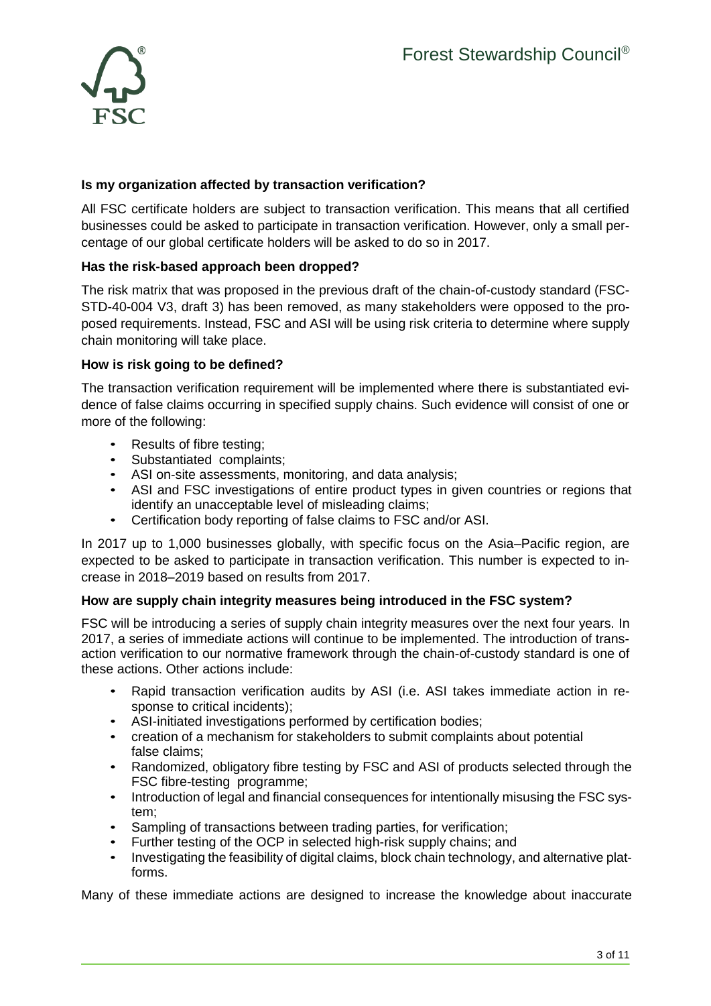

## **Is my organization affected by transaction verification?**

All FSC certificate holders are subject to transaction verification. This means that all certified businesses could be asked to participate in transaction verification. However, only a small percentage of our global certificate holders will be asked to do so in 2017.

### **Has the risk-based approach been dropped?**

The risk matrix that was proposed in the previous draft of the chain-of-custody standard (FSC-STD-40-004 V3, draft 3) has been removed, as many stakeholders were opposed to the proposed requirements. Instead, FSC and ASI will be using risk criteria to determine where supply chain monitoring will take place.

### **How is risk going to be defined?**

The transaction verification requirement will be implemented where there is substantiated evidence of false claims occurring in specified supply chains. Such evidence will consist of one or more of the following:

- Results of fibre testing;
- Substantiated complaints;
- 
- ASI on-site assessments, monitoring, and data analysis;<br>• ASI and FSC investigations of entire product types in g ASI and FSC investigations of entire product types in given countries or regions that identify an unacceptable level of misleading claims;
- Certification body reporting of false claims to FSC and/or ASI.

In 2017 up to 1,000 businesses globally, with specific focus on the Asia–Pacific region, are expected to be asked to participate in transaction verification. This number is expected to increase in 2018–2019 based on results from 2017.

#### **How are supply chain integrity measures being introduced in the FSC system?**

FSC will be introducing a series of supply chain integrity measures over the next four years. In 2017, a series of immediate actions will continue to be implemented. The introduction of transaction verification to our normative framework through the chain-of-custody standard is one of these actions. Other actions include:

- Rapid transaction verification audits by ASI (i.e. ASI takes immediate action in response to critical incidents);
- ASI-initiated investigations performed by certification bodies;
- creation of a mechanism for stakeholders to submit complaints about potential false claims;
- Randomized, obligatory fibre testing by FSC and ASI of products selected through the FSC fibre-testing programme;
- Introduction of legal and financial consequences for intentionally misusing the FSC system;
- Sampling of transactions between trading parties, for verification;
- Further testing of the OCP in selected high-risk supply chains; and
- Investigating the feasibility of digital claims, block chain technology, and alternative platforms.

Many of these immediate actions are designed to increase the knowledge about inaccurate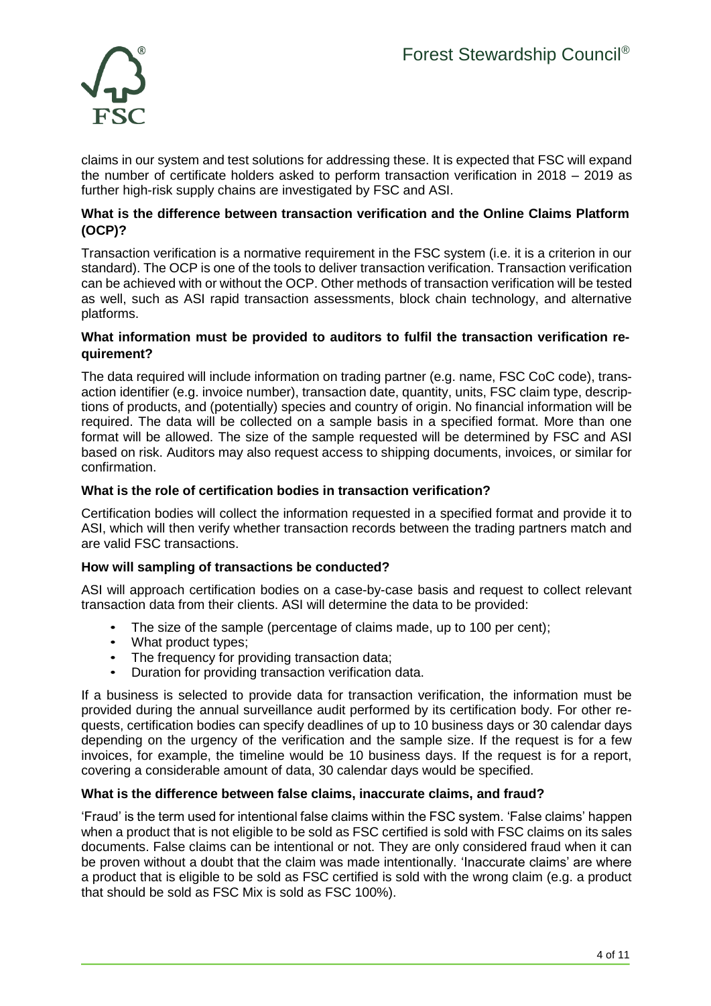

claims in our system and test solutions for addressing these. It is expected that FSC will expand the number of certificate holders asked to perform transaction verification in 2018 – 2019 as further high-risk supply chains are investigated by FSC and ASI.

#### **What is the difference between transaction verification and the Online Claims Platform (OCP)?**

Transaction verification is a normative requirement in the FSC system (i.e. it is a criterion in our standard). The OCP is one of the tools to deliver transaction verification. Transaction verification can be achieved with or without the OCP. Other methods of transaction verification will be tested as well, such as ASI rapid transaction assessments, block chain technology, and alternative platforms.

#### **What information must be provided to auditors to fulfil the transaction verification requirement?**

The data required will include information on trading partner (e.g. name, FSC CoC code), transaction identifier (e.g. invoice number), transaction date, quantity, units, FSC claim type, descriptions of products, and (potentially) species and country of origin. No financial information will be required. The data will be collected on a sample basis in a specified format. More than one format will be allowed. The size of the sample requested will be determined by FSC and ASI based on risk. Auditors may also request access to shipping documents, invoices, or similar for confirmation.

#### **What is the role of certification bodies in transaction verification?**

Certification bodies will collect the information requested in a specified format and provide it to ASI, which will then verify whether transaction records between the trading partners match and are valid FSC transactions.

#### **How will sampling of transactions be conducted?**

ASI will approach certification bodies on a case-by-case basis and request to collect relevant transaction data from their clients. ASI will determine the data to be provided:

- The size of the sample (percentage of claims made, up to 100 per cent);
- What product types;
- The frequency for providing transaction data;
- Duration for providing transaction verification data.

If a business is selected to provide data for transaction verification, the information must be provided during the annual surveillance audit performed by its certification body. For other requests, certification bodies can specify deadlines of up to 10 business days or 30 calendar days depending on the urgency of the verification and the sample size. If the request is for a few invoices, for example, the timeline would be 10 business days. If the request is for a report, covering a considerable amount of data, 30 calendar days would be specified.

#### **What is the difference between false claims, inaccurate claims, and fraud?**

'Fraud' is the term used for intentional false claims within the FSC system. 'False claims' happen when a product that is not eligible to be sold as FSC certified is sold with FSC claims on its sales documents. False claims can be intentional or not. They are only considered fraud when it can be proven without a doubt that the claim was made intentionally. 'Inaccurate claims' are where a product that is eligible to be sold as FSC certified is sold with the wrong claim (e.g. a product that should be sold as FSC Mix is sold as FSC 100%).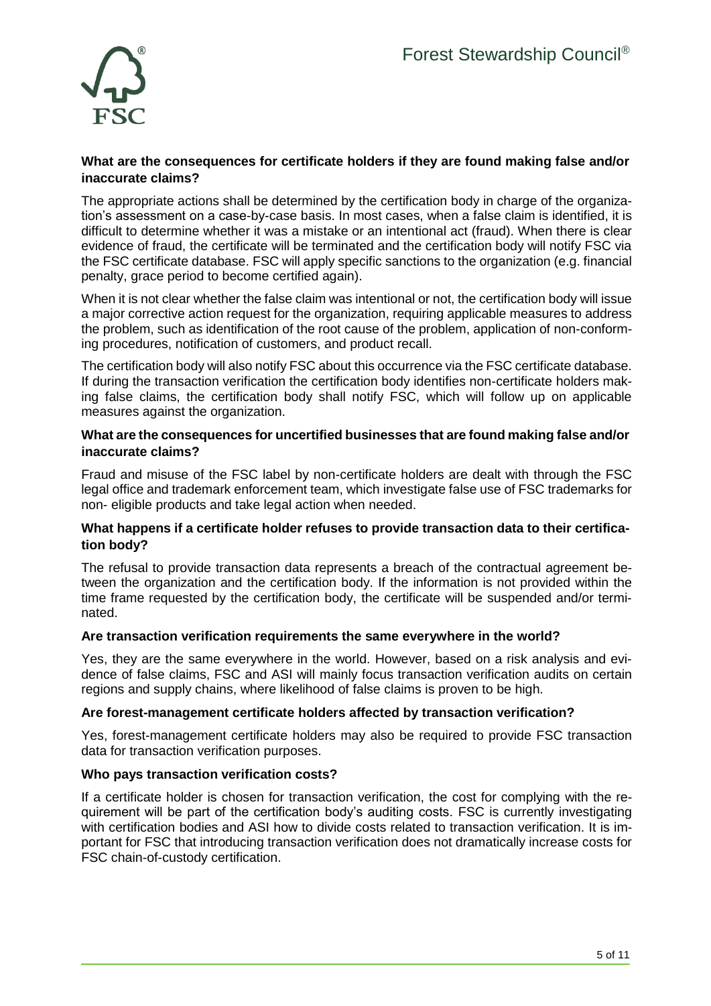

#### **What are the consequences for certificate holders if they are found making false and/or inaccurate claims?**

The appropriate actions shall be determined by the certification body in charge of the organization's assessment on a case-by-case basis. In most cases, when a false claim is identified, it is difficult to determine whether it was a mistake or an intentional act (fraud). When there is clear evidence of fraud, the certificate will be terminated and the certification body will notify FSC via the FSC certificate database. FSC will apply specific sanctions to the organization (e.g. financial penalty, grace period to become certified again).

When it is not clear whether the false claim was intentional or not, the certification body will issue a major corrective action request for the organization, requiring applicable measures to address the problem, such as identification of the root cause of the problem, application of non-conforming procedures, notification of customers, and product recall.

The certification body will also notify FSC about this occurrence via the FSC certificate database. If during the transaction verification the certification body identifies non-certificate holders making false claims, the certification body shall notify FSC, which will follow up on applicable measures against the organization.

#### **What are the consequences for uncertified businesses that are found making false and/or inaccurate claims?**

Fraud and misuse of the FSC label by non-certificate holders are dealt with through the FSC legal office and trademark enforcement team, which investigate false use of FSC trademarks for non- eligible products and take legal action when needed.

#### **What happens if a certificate holder refuses to provide transaction data to their certification body?**

The refusal to provide transaction data represents a breach of the contractual agreement between the organization and the certification body. If the information is not provided within the time frame requested by the certification body, the certificate will be suspended and/or terminated.

#### **Are transaction verification requirements the same everywhere in the world?**

Yes, they are the same everywhere in the world. However, based on a risk analysis and evidence of false claims, FSC and ASI will mainly focus transaction verification audits on certain regions and supply chains, where likelihood of false claims is proven to be high.

#### **Are forest-management certificate holders affected by transaction verification?**

Yes, forest-management certificate holders may also be required to provide FSC transaction data for transaction verification purposes.

#### **Who pays transaction verification costs?**

If a certificate holder is chosen for transaction verification, the cost for complying with the requirement will be part of the certification body's auditing costs. FSC is currently investigating with certification bodies and ASI how to divide costs related to transaction verification. It is important for FSC that introducing transaction verification does not dramatically increase costs for FSC chain-of-custody certification.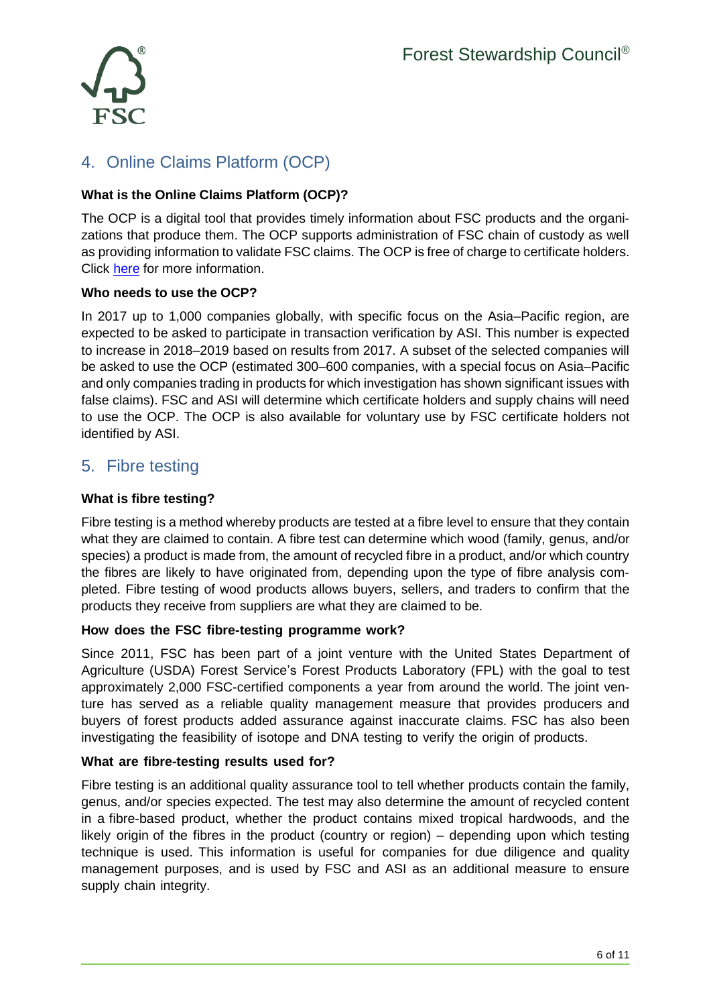

# <span id="page-5-0"></span>4. Online Claims Platform (OCP)

# **What is the Online Claims Platform (OCP)?**

The OCP is a digital tool that provides timely information about FSC products and the organizations that produce them. The OCP supports administration of FSC chain of custody as well as providing information to validate FSC claims. The OCP is free of charge to certificate holders. Click [here](http://ocp-info.fsc.org/) for more information.

# **Who needs to use the OCP?**

In 2017 up to 1,000 companies globally, with specific focus on the Asia–Pacific region, are expected to be asked to participate in transaction verification by ASI. This number is expected to increase in 2018–2019 based on results from 2017. A subset of the selected companies will be asked to use the OCP (estimated 300–600 companies, with a special focus on Asia–Pacific and only companies trading in products for which investigation has shown significant issues with false claims). FSC and ASI will determine which certificate holders and supply chains will need to use the OCP. The OCP is also available for voluntary use by FSC certificate holders not identified by ASI.

# <span id="page-5-1"></span>5. Fibre testing

## **What is fibre testing?**

Fibre testing is a method whereby products are tested at a fibre level to ensure that they contain what they are claimed to contain. A fibre test can determine which wood (family, genus, and/or species) a product is made from, the amount of recycled fibre in a product, and/or which country the fibres are likely to have originated from, depending upon the type of fibre analysis completed. Fibre testing of wood products allows buyers, sellers, and traders to confirm that the products they receive from suppliers are what they are claimed to be.

#### **How does the FSC fibre-testing programme work?**

Since 2011, FSC has been part of a joint venture with the United States Department of Agriculture (USDA) Forest Service's Forest Products Laboratory (FPL) with the goal to test approximately 2,000 FSC-certified components a year from around the world. The joint venture has served as a reliable quality management measure that provides producers and buyers of forest products added assurance against inaccurate claims. FSC has also been investigating the feasibility of isotope and DNA testing to verify the origin of products.

#### **What are fibre-testing results used for?**

Fibre testing is an additional quality assurance tool to tell whether products contain the family, genus, and/or species expected. The test may also determine the amount of recycled content in a fibre-based product, whether the product contains mixed tropical hardwoods, and the likely origin of the fibres in the product (country or region) – depending upon which testing technique is used. This information is useful for companies for due diligence and quality management purposes, and is used by FSC and ASI as an additional measure to ensure supply chain integrity.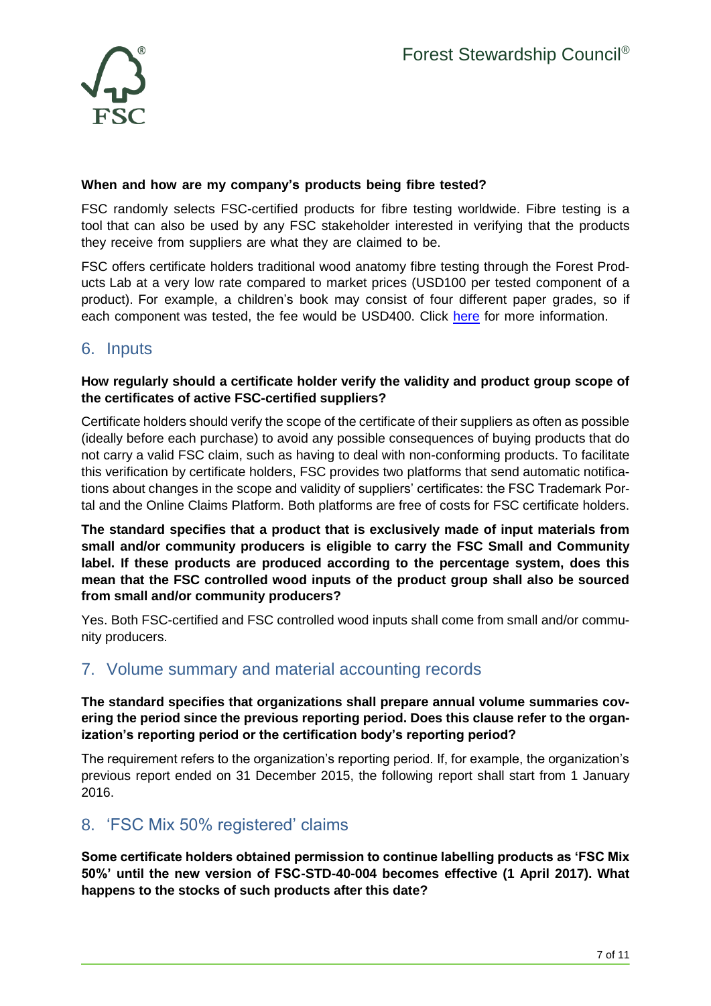

### **When and how are my company's products being fibre tested?**

FSC randomly selects FSC-certified products for fibre testing worldwide. Fibre testing is a tool that can also be used by any FSC stakeholder interested in verifying that the products they receive from suppliers are what they are claimed to be.

FSC offers certificate holders traditional wood anatomy fibre testing through the Forest Products Lab at a very low rate compared to market prices (USD100 per tested component of a product). For example, a children's book may consist of four different paper grades, so if each component was tested, the fee would be USD400. Click [here](https://ic.fsc.org/en/what-is-fsc/what-we-do/strengthening-supply-chains/sample-testing) for more information.

# <span id="page-6-0"></span>6. Inputs

## **How regularly should a certificate holder verify the validity and product group scope of the certificates of active FSC-certified suppliers?**

Certificate holders should verify the scope of the certificate of their suppliers as often as possible (ideally before each purchase) to avoid any possible consequences of buying products that do not carry a valid FSC claim, such as having to deal with non-conforming products. To facilitate this verification by certificate holders, FSC provides two platforms that send automatic notifications about changes in the scope and validity of suppliers' certificates: the FSC Trademark Portal and the Online Claims Platform. Both platforms are free of costs for FSC certificate holders.

**The standard specifies that a product that is exclusively made of input materials from small and/or community producers is eligible to carry the FSC Small and Community label. If these products are produced according to the percentage system, does this mean that the FSC controlled wood inputs of the product group shall also be sourced from small and/or community producers?**

Yes. Both FSC-certified and FSC controlled wood inputs shall come from small and/or community producers.

# <span id="page-6-1"></span>7. Volume summary and material accounting records

## **The standard specifies that organizations shall prepare annual volume summaries covering the period since the previous reporting period. Does this clause refer to the organization's reporting period or the certification body's reporting period?**

The requirement refers to the organization's reporting period. If, for example, the organization's previous report ended on 31 December 2015, the following report shall start from 1 January 2016.

# <span id="page-6-2"></span>8. 'FSC Mix 50% registered' claims

**Some certificate holders obtained permission to continue labelling products as 'FSC Mix 50%' until the new version of FSC-STD-40-004 becomes effective (1 April 2017). What happens to the stocks of such products after this date?**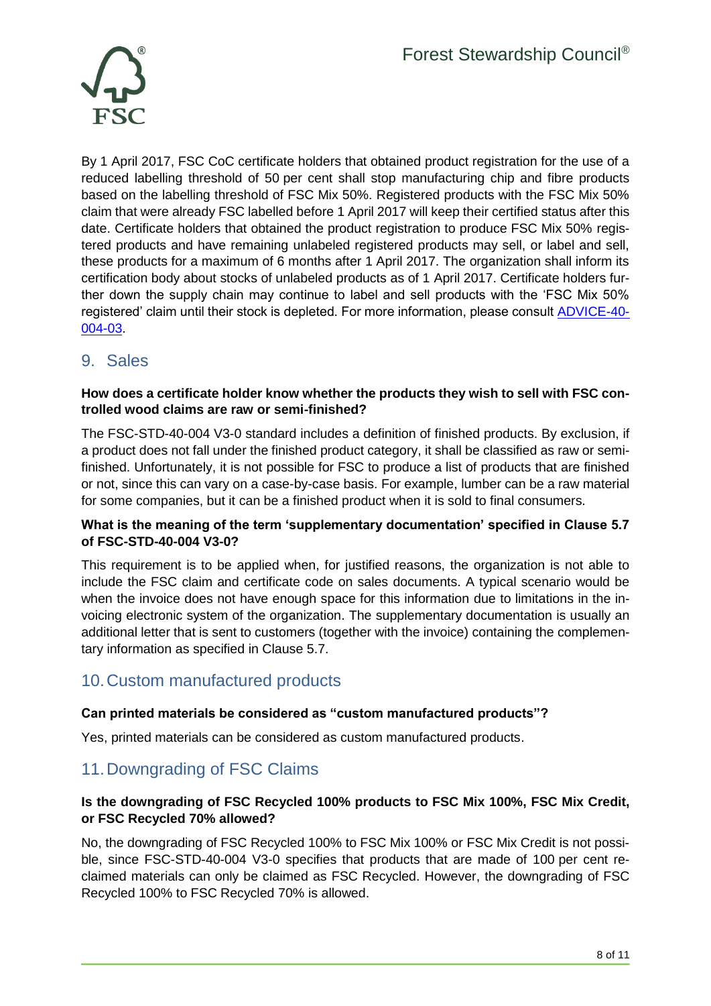

By 1 April 2017, FSC CoC certificate holders that obtained product registration for the use of a reduced labelling threshold of 50 per cent shall stop manufacturing chip and fibre products based on the labelling threshold of FSC Mix 50%. Registered products with the FSC Mix 50% claim that were already FSC labelled before 1 April 2017 will keep their certified status after this date. Certificate holders that obtained the product registration to produce FSC Mix 50% registered products and have remaining unlabeled registered products may sell, or label and sell, these products for a maximum of 6 months after 1 April 2017. The organization shall inform its certification body about stocks of unlabeled products as of 1 April 2017. Certificate holders further down the supply chain may continue to label and sell products with the 'FSC Mix 50% registered' claim until their stock is depleted. For more information, please consult [ADVICE-40-](https://ic.fsc.org/en/document-center/id/91) [004-03.](https://ic.fsc.org/en/document-center/id/91)

# <span id="page-7-0"></span>9. Sales

# **How does a certificate holder know whether the products they wish to sell with FSC controlled wood claims are raw or semi-finished?**

The FSC-STD-40-004 V3-0 standard includes a definition of finished products. By exclusion, if a product does not fall under the finished product category, it shall be classified as raw or semifinished. Unfortunately, it is not possible for FSC to produce a list of products that are finished or not, since this can vary on a case-by-case basis. For example, lumber can be a raw material for some companies, but it can be a finished product when it is sold to final consumers.

# **What is the meaning of the term 'supplementary documentation' specified in Clause 5.7 of FSC-STD-40-004 V3-0?**

This requirement is to be applied when, for justified reasons, the organization is not able to include the FSC claim and certificate code on sales documents. A typical scenario would be when the invoice does not have enough space for this information due to limitations in the invoicing electronic system of the organization. The supplementary documentation is usually an additional letter that is sent to customers (together with the invoice) containing the complementary information as specified in Clause 5.7.

# <span id="page-7-1"></span>10.Custom manufactured products

# **Can printed materials be considered as "custom manufactured products"?**

Yes, printed materials can be considered as custom manufactured products.

# <span id="page-7-2"></span>11.Downgrading of FSC Claims

# **Is the downgrading of FSC Recycled 100% products to FSC Mix 100%, FSC Mix Credit, or FSC Recycled 70% allowed?**

No, the downgrading of FSC Recycled 100% to FSC Mix 100% or FSC Mix Credit is not possible, since FSC-STD-40-004 V3-0 specifies that products that are made of 100 per cent reclaimed materials can only be claimed as FSC Recycled. However, the downgrading of FSC Recycled 100% to FSC Recycled 70% is allowed.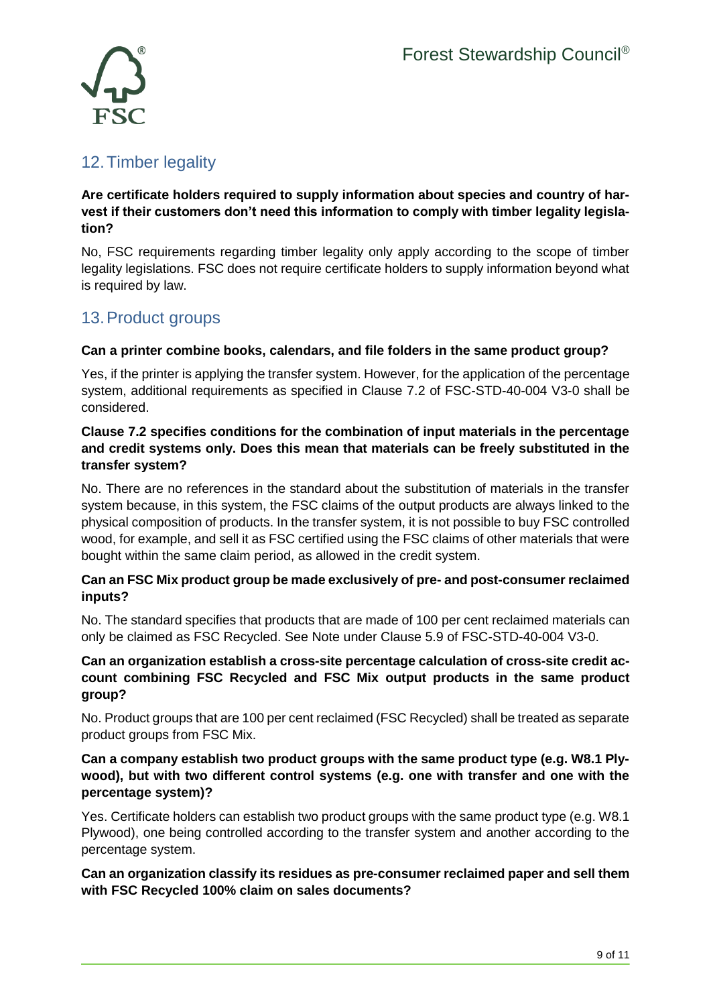

# <span id="page-8-0"></span>12.Timber legality

## **Are certificate holders required to supply information about species and country of harvest if their customers don't need this information to comply with timber legality legislation?**

No, FSC requirements regarding timber legality only apply according to the scope of timber legality legislations. FSC does not require certificate holders to supply information beyond what is required by law.

# <span id="page-8-1"></span>13.Product groups

# **Can a printer combine books, calendars, and file folders in the same product group?**

Yes, if the printer is applying the transfer system. However, for the application of the percentage system, additional requirements as specified in Clause 7.2 of FSC-STD-40-004 V3-0 shall be considered.

# **Clause 7.2 specifies conditions for the combination of input materials in the percentage and credit systems only. Does this mean that materials can be freely substituted in the transfer system?**

No. There are no references in the standard about the substitution of materials in the transfer system because, in this system, the FSC claims of the output products are always linked to the physical composition of products. In the transfer system, it is not possible to buy FSC controlled wood, for example, and sell it as FSC certified using the FSC claims of other materials that were bought within the same claim period, as allowed in the credit system.

# **Can an FSC Mix product group be made exclusively of pre- and post-consumer reclaimed inputs?**

No. The standard specifies that products that are made of 100 per cent reclaimed materials can only be claimed as FSC Recycled. See Note under Clause 5.9 of FSC-STD-40-004 V3-0.

## **Can an organization establish a cross-site percentage calculation of cross-site credit account combining FSC Recycled and FSC Mix output products in the same product group?**

No. Product groups that are 100 per cent reclaimed (FSC Recycled) shall be treated as separate product groups from FSC Mix.

# **Can a company establish two product groups with the same product type (e.g. W8.1 Plywood), but with two different control systems (e.g. one with transfer and one with the percentage system)?**

Yes. Certificate holders can establish two product groups with the same product type (e.g. W8.1 Plywood), one being controlled according to the transfer system and another according to the percentage system.

**Can an organization classify its residues as pre-consumer reclaimed paper and sell them with FSC Recycled 100% claim on sales documents?**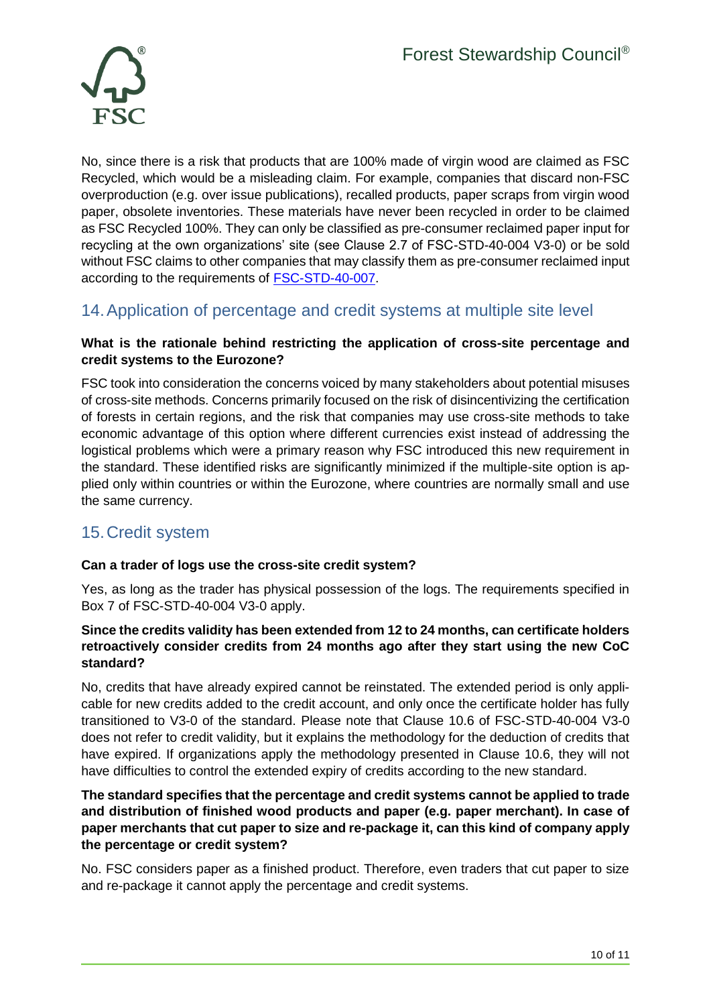

No, since there is a risk that products that are 100% made of virgin wood are claimed as FSC Recycled, which would be a misleading claim. For example, companies that discard non-FSC overproduction (e.g. over issue publications), recalled products, paper scraps from virgin wood paper, obsolete inventories. These materials have never been recycled in order to be claimed as FSC Recycled 100%. They can only be classified as pre-consumer reclaimed paper input for recycling at the own organizations' site (see Clause 2.7 of FSC-STD-40-004 V3-0) or be sold without FSC claims to other companies that may classify them as pre-consumer reclaimed input according to the requirements of [FSC-STD-40-007.](https://ic.fsc.org/en/document-center/id/83)

# <span id="page-9-0"></span>14.Application of percentage and credit systems at multiple site level

## **What is the rationale behind restricting the application of cross-site percentage and credit systems to the Eurozone?**

FSC took into consideration the concerns voiced by many stakeholders about potential misuses of cross-site methods. Concerns primarily focused on the risk of disincentivizing the certification of forests in certain regions, and the risk that companies may use cross-site methods to take economic advantage of this option where different currencies exist instead of addressing the logistical problems which were a primary reason why FSC introduced this new requirement in the standard. These identified risks are significantly minimized if the multiple-site option is applied only within countries or within the Eurozone, where countries are normally small and use the same currency.

# <span id="page-9-1"></span>15.Credit system

# **Can a trader of logs use the cross-site credit system?**

Yes, as long as the trader has physical possession of the logs. The requirements specified in Box 7 of FSC-STD-40-004 V3-0 apply.

## **Since the credits validity has been extended from 12 to 24 months, can certificate holders retroactively consider credits from 24 months ago after they start using the new CoC standard?**

No, credits that have already expired cannot be reinstated. The extended period is only applicable for new credits added to the credit account, and only once the certificate holder has fully transitioned to V3-0 of the standard. Please note that Clause 10.6 of FSC-STD-40-004 V3-0 does not refer to credit validity, but it explains the methodology for the deduction of credits that have expired. If organizations apply the methodology presented in Clause 10.6, they will not have difficulties to control the extended expiry of credits according to the new standard.

# **The standard specifies that the percentage and credit systems cannot be applied to trade and distribution of finished wood products and paper (e.g. paper merchant). In case of paper merchants that cut paper to size and re-package it, can this kind of company apply the percentage or credit system?**

No. FSC considers paper as a finished product. Therefore, even traders that cut paper to size and re-package it cannot apply the percentage and credit systems.